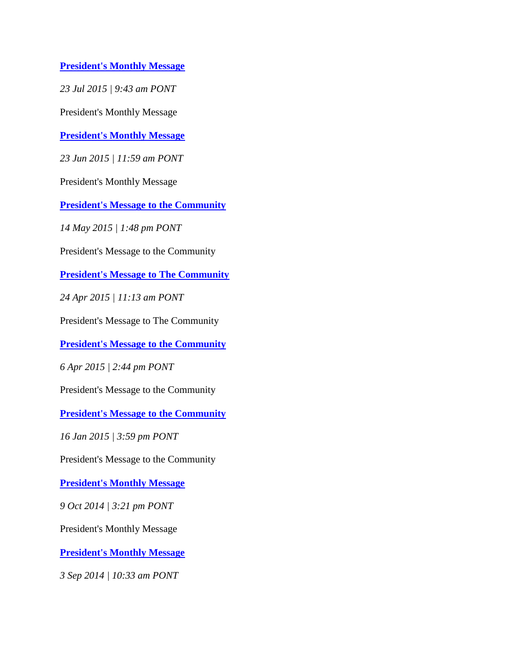**[President's Monthly Message](http://www.comfsm.fm/myShark/news/item=1277/mod=20:43:05)**

*23 Jul 2015 | 9:43 am PONT*

President's Monthly Message

**[President's Monthly Message](http://www.comfsm.fm/myShark/news/item=1249/mod=22:59:27)**

*23 Jun 2015 | 11:59 am PONT*

President's Monthly Message

**[President's Message to the Community](http://www.comfsm.fm/myShark/news/item=1229/mod=00:48:29)**

*14 May 2015 | 1:48 pm PONT*

President's Message to the Community

**[President's Message to The Community](http://www.comfsm.fm/myShark/news/item=1211/mod=22:13:47)**

*24 Apr 2015 | 11:13 am PONT*

President's Message to The Community

**[President's Message to the](http://www.comfsm.fm/myShark/news/item=1191/mod=01:44:54) Community**

*6 Apr 2015 | 2:44 pm PONT*

President's Message to the Community

**[President's Message to the Community](http://www.comfsm.fm/myShark/news/item=1130/mod=02:59:22)**

*16 Jan 2015 | 3:59 pm PONT*

President's Message to the Community

**[President's Monthly Message](http://www.comfsm.fm/myShark/news/item=1059/mod=02:21:43)**

*9 Oct 2014 | 3:21 pm PONT*

President's Monthly Message

**[President's Monthly Message](http://www.comfsm.fm/myShark/news/item=1016/mod=21:33:06)**

*3 Sep 2014 | 10:33 am PONT*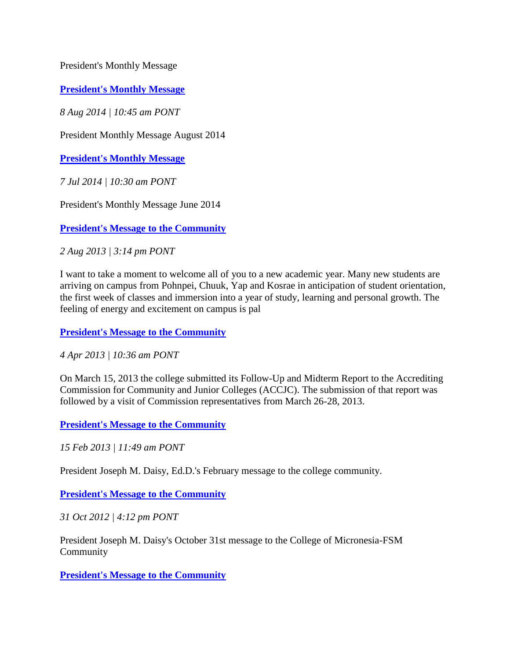President's Monthly Message

**[President's Monthly Message](http://www.comfsm.fm/myShark/news/item=983/mod=21:45:45)**

*8 Aug 2014 | 10:45 am PONT*

President Monthly Message August 2014

**[President's Monthly Message](http://www.comfsm.fm/myShark/news/item=966/mod=21:30:23)**

*7 Jul 2014 | 10:30 am PONT*

President's Monthly Message June 2014

**[President's Message to the Community](http://www.comfsm.fm/myShark/news/item=582/mod=02:14:06)**

*2 Aug 2013 | 3:14 pm PONT*

I want to take a moment to welcome all of you to a new academic year. Many new students are arriving on campus from Pohnpei, Chuuk, Yap and Kosrae in anticipation of student orientation, the first week of classes and immersion into a year of study, learning and personal growth. The feeling of energy and excitement on campus is pal

**[President's Message to the Community](http://www.comfsm.fm/myShark/news/item=485/mod=21:36:33)**

*4 Apr 2013 | 10:36 am PONT*

On March 15, 2013 the college submitted its Follow-Up and Midterm Report to the Accrediting Commission for Community and Junior Colleges (ACCJC). The submission of that report was followed by a visit of Commission representatives from March 26-28, 2013.

**[President's Message to the Community](http://www.comfsm.fm/myShark/news/item=446/mod=22:49:27)**

*15 Feb 2013 | 11:49 am PONT*

President Joseph M. Daisy, Ed.D.'s February message to the college community.

**[President's Message to the Community](http://www.comfsm.fm/myShark/news/item=343/mod=03:12:46)**

*31 Oct 2012 | 4:12 pm PONT*

President Joseph M. Daisy's October 31st message to the College of Micronesia-FSM Community

**[President's Message to the Community](http://www.comfsm.fm/myShark/news/item=332/mod=23:20:39)**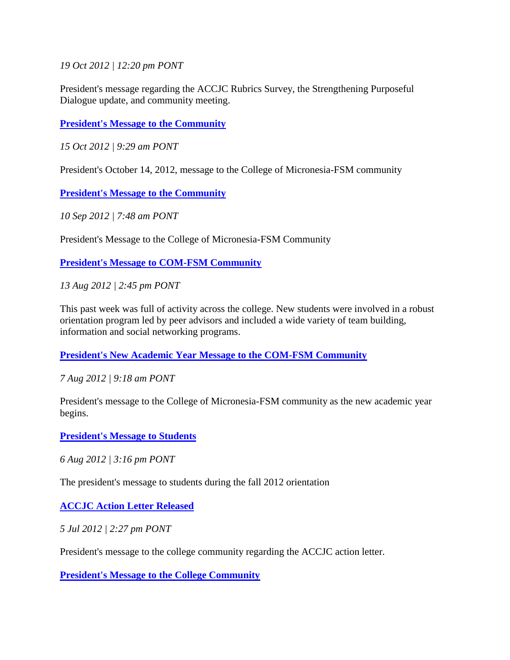*19 Oct 2012 | 12:20 pm PONT*

President's message regarding the ACCJC Rubrics Survey, the Strengthening Purposeful Dialogue update, and community meeting.

**[President's Message to the Community](http://www.comfsm.fm/myShark/news/item=326/mod=20:29:59)**

*15 Oct 2012 | 9:29 am PONT*

President's October 14, 2012, message to the College of Micronesia-FSM community

**[President's Message to the Community](http://www.comfsm.fm/myShark/news/item=295/mod=18:48:27)**

*10 Sep 2012 | 7:48 am PONT*

President's Message to the College of Micronesia-FSM Community

**[President's Message to COM-FSM Community](http://www.comfsm.fm/myShark/news/item=264/mod=01:45:17)**

*13 Aug 2012 | 2:45 pm PONT*

This past week was full of activity across the college. New students were involved in a robust orientation program led by peer advisors and included a wide variety of team building, information and social networking programs.

**[President's New Academic Year Message to the COM-FSM Community](http://www.comfsm.fm/myShark/news/item=258/mod=20:18:08)**

*7 Aug 2012 | 9:18 am PONT*

President's message to the College of Micronesia-FSM community as the new academic year begins.

**[President's Message to Students](http://www.comfsm.fm/myShark/news/item=257/mod=02:16:14)**

*6 Aug 2012 | 3:16 pm PONT*

The president's message to students during the fall 2012 orientation

**[ACCJC Action Letter Released](http://www.comfsm.fm/myShark/news/item=229/mod=01:27:02)**

*5 Jul 2012 | 2:27 pm PONT*

President's message to the college community regarding the ACCJC action letter.

**[President's Message to the College Community](http://www.comfsm.fm/myShark/news/item=214/mod=04:17:15)**